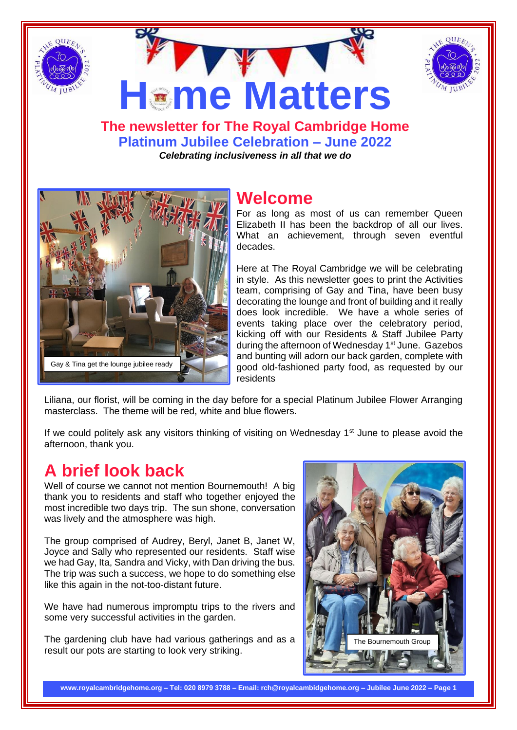



**The newsletter for The Royal Cambridge Home Platinum Jubilee Celebration – June 2022** *Celebrating inclusiveness in all that we do*

**Heme Matters** 



## **Welcome**

For as long as most of us can remember Queen Elizabeth II has been the backdrop of all our lives. What an achievement, through seven eventful decades.

Here at The Royal Cambridge we will be celebrating in style. As this newsletter goes to print the Activities team, comprising of Gay and Tina, have been busy decorating the lounge and front of building and it really does look incredible. We have a whole series of events taking place over the celebratory period, kicking off with our Residents & Staff Jubilee Party during the afternoon of Wednesday 1<sup>st</sup> June. Gazebos and bunting will adorn our back garden, complete with good old-fashioned party food, as requested by our residents

Liliana, our florist, will be coming in the day before for a special Platinum Jubilee Flower Arranging masterclass. The theme will be red, white and blue flowers.

If we could politely ask any visitors thinking of visiting on Wednesday  $1<sup>st</sup>$  June to please avoid the afternoon, thank you.

# **A brief look back**

Well of course we cannot not mention Bournemouth! A big thank you to residents and staff who together enjoyed the most incredible two days trip. The sun shone, conversation was lively and the atmosphere was high.

The group comprised of Audrey, Beryl, Janet B, Janet W, Joyce and Sally who represented our residents. Staff wise we had Gay, Ita, Sandra and Vicky, with Dan driving the bus. The trip was such a success, we hope to do something else like this again in the not-too-distant future.

We have had numerous impromptu trips to the rivers and some very successful activities in the garden.

The gardening club have had various gatherings and as a result our pots are starting to look very striking.



**www.royalcambridgehome.org – Tel: 020 8979 3788 – Email: rch@royalcambidgehome.org – Jubilee June 2022 – Page 1**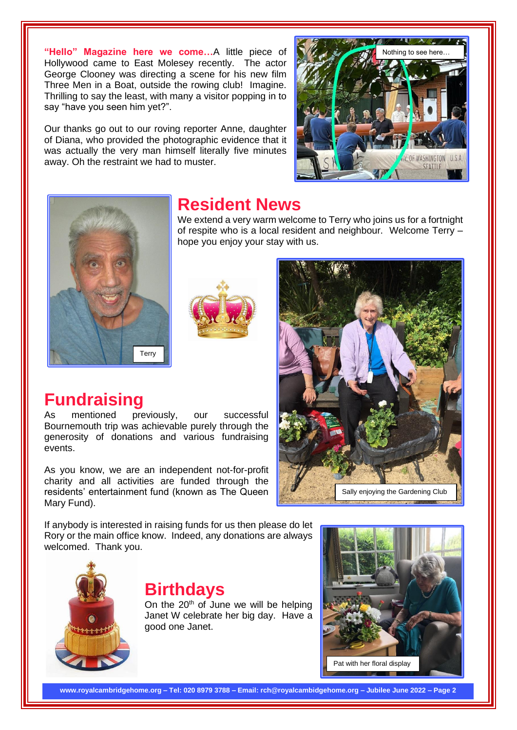**"Hello" Magazine here we come…**A little piece of Hollywood came to East Molesey recently. The actor George Clooney was directing a scene for his new film Three Men in a Boat, outside the rowing club! Imagine. Thrilling to say the least, with many a visitor popping in to say "have you seen him yet?".

Our thanks go out to our roving reporter Anne, daughter of Diana, who provided the photographic evidence that it was actually the very man himself literally five minutes away. Oh the restraint we had to muster.





### **Resident News**

We extend a very warm welcome to Terry who joins us for a fortnight of respite who is a local resident and neighbour. Welcome Terry – hope you enjoy your stay with us.



## **Fundraising**

As mentioned previously, our successful Bournemouth trip was achievable purely through the generosity of donations and various fundraising events.

As you know, we are an independent not-for-profit charity and all activities are funded through the residents' entertainment fund (known as The Queen Mary Fund).

If anybody is interested in raising funds for us then please do let Rory or the main office know. Indeed, any donations are always welcomed. Thank you.



### **Birthdays**

On the 20<sup>th</sup> of June we will be helping Janet W celebrate her big day. Have a good one Janet.



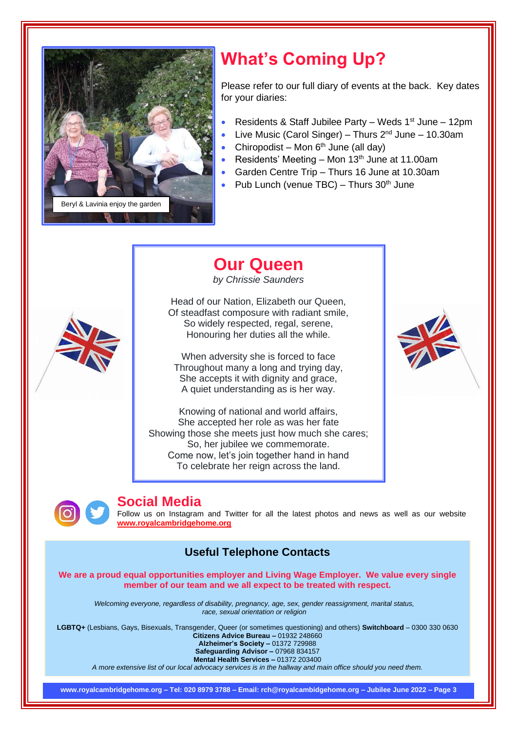

# **What's Coming Up?**

Please refer to our full diary of events at the back. Key dates for your diaries:

- Residents & Staff Jubilee Party Weds 1<sup>st</sup> June 12pm
- Live Music (Carol Singer) Thurs  $2^{nd}$  June 10.30am
- Chiropodist Mon  $6<sup>th</sup>$  June (all day)
- Residents' Meeting Mon  $13<sup>th</sup>$  June at 11.00am
- Garden Centre Trip Thurs 16 June at 10.30am
- Pub Lunch (venue TBC) Thurs  $30<sup>th</sup>$  June

# **Our Queen**

*by Chrissie Saunders*

Head of our Nation, Elizabeth our Queen, Of steadfast composure with radiant smile, So widely respected, regal, serene, Honouring her duties all the while.

When adversity she is forced to face Throughout many a long and trying day, She accepts it with dignity and grace, A quiet understanding as is her way.

Knowing of national and world affairs, She accepted her role as was her fate Showing those she meets just how much she cares; So, her jubilee we commemorate. Come now, let's join together hand in hand To celebrate her reign across the land.





#### **Social Media**

Follow us on Instagram and Twitter for all the latest photos and news as well as our website **[www.royalcambridgehome.org](http://www.royalcambridgehome.org/)**

#### **Useful Telephone Contacts**

**We are a proud equal opportunities employer and Living Wage Employer. We value every single member of our team and we all expect to be treated with respect.**

*Welcoming everyone, regardless of disability, pregnancy, age, sex, gender reassignment, marital status, race, sexual orientation or religion*

**LGBTQ+** (Lesbians, Gays, Bisexuals, Transgender, Queer (or sometimes questioning) and others) **Switchboard** – 0300 330 0630 **Citizens Advice Bureau –** 01932 248660 **Alzheimer's Society –** 01372 729988

**Safeguarding Advisor –** 07968 834157

**Mental Health Services –** 01372 203400

*A more extensive list of our local advocacy services is in the hallway and main office should you need them.*